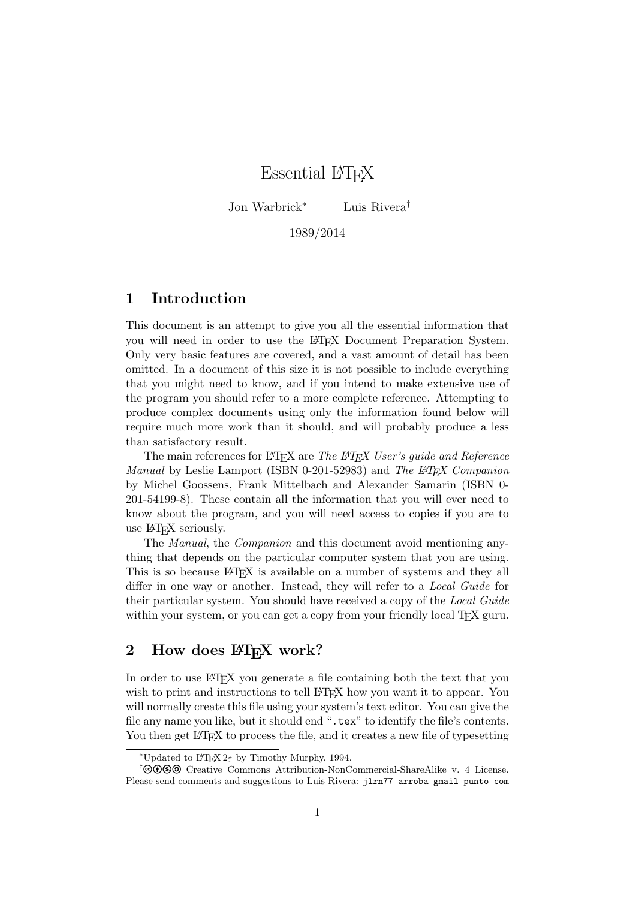# Essential LAT<sub>F</sub>X

Jon Warbrick<sup>∗</sup> Luis Rivera†

1989/2014

## 1 Introduction

This document is an attempt to give you all the essential information that you will need in order to use the LATEX Document Preparation System. Only very basic features are covered, and a vast amount of detail has been omitted. In a document of this size it is not possible to include everything that you might need to know, and if you intend to make extensive use of the program you should refer to a more complete reference. Attempting to produce complex documents using only the information found below will require much more work than it should, and will probably produce a less than satisfactory result.

The main references for LAT<sub>EX</sub> are *The LAT<sub>EX</sub>* User's guide and Reference Manual by Leslie Lamport (ISBN 0-201-52983) and The LATEX Companion by Michel Goossens, Frank Mittelbach and Alexander Samarin (ISBN 0- 201-54199-8). These contain all the information that you will ever need to know about the program, and you will need access to copies if you are to use LAT<sub>EX</sub> seriously.

The Manual, the Companion and this document avoid mentioning anything that depends on the particular computer system that you are using. This is so because LAT<sub>EX</sub> is available on a number of systems and they all differ in one way or another. Instead, they will refer to a *Local Guide* for their particular system. You should have received a copy of the Local Guide within your system, or you can get a copy from your friendly local  $T_F X$  guru.

# 2 How does LAT<sub>EX</sub> work?

In order to use LAT<sub>EX</sub> you generate a file containing both the text that you wish to print and instructions to tell LATEX how you want it to appear. You will normally create this file using your system's text editor. You can give the file any name you like, but it should end ".tex" to identify the file's contents. You then get LAT<sub>E</sub>X to process the file, and it creates a new file of typesetting

<sup>\*</sup>Updated to  $\angle$ FIEX  $2\varepsilon$  by Timothy Murphy, 1994.

<sup>&</sup>lt;sup>†</sup>©**①S**O Creative Commons Attribution-NonCommercial-ShareAlike v. 4 License. Please send comments and suggestions to Luis Rivera: jlrn77 arroba gmail punto com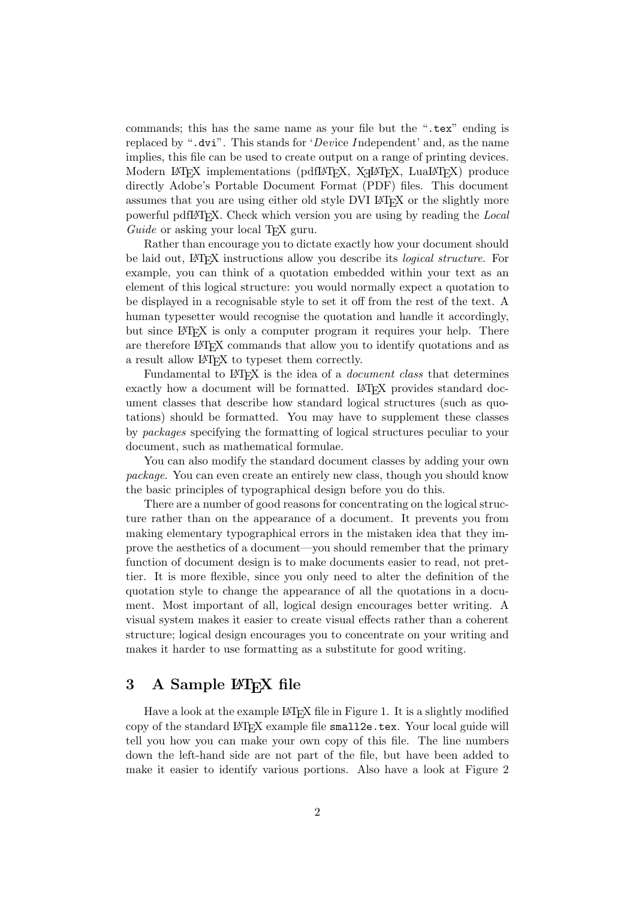commands; this has the same name as your file but the ".tex" ending is replaced by ".dvi". This stands for 'Device Independent' and, as the name implies, this file can be used to create output on a range of printing devices. Modern LAT<sub>E</sub>X implementations (pdfLAT<sub>E</sub>X, X<sub>T</sub>LAT<sub>E</sub>X, LuaLAT<sub>E</sub>X) produce directly Adobe's Portable Document Format (PDF) files. This document assumes that you are using either old style DVI LAT<sub>EX</sub> or the slightly more powerful pdfLATEX. Check which version you are using by reading the Local  $Guide$  or asking your local T<sub>F</sub>X guru.

Rather than encourage you to dictate exactly how your document should be laid out, LAT<sub>EX</sub> instructions allow you describe its *logical structure*. For example, you can think of a quotation embedded within your text as an element of this logical structure: you would normally expect a quotation to be displayed in a recognisable style to set it off from the rest of the text. A human typesetter would recognise the quotation and handle it accordingly, but since LATEX is only a computer program it requires your help. There are therefore LATEX commands that allow you to identify quotations and as a result allow LATEX to typeset them correctly.

Fundamental to LAT<sub>EX</sub> is the idea of a *document class* that determines exactly how a document will be formatted. LAT<sub>EX</sub> provides standard document classes that describe how standard logical structures (such as quotations) should be formatted. You may have to supplement these classes by packages specifying the formatting of logical structures peculiar to your document, such as mathematical formulae.

You can also modify the standard document classes by adding your own package. You can even create an entirely new class, though you should know the basic principles of typographical design before you do this.

There are a number of good reasons for concentrating on the logical structure rather than on the appearance of a document. It prevents you from making elementary typographical errors in the mistaken idea that they improve the aesthetics of a document—you should remember that the primary function of document design is to make documents easier to read, not prettier. It is more flexible, since you only need to alter the definition of the quotation style to change the appearance of all the quotations in a document. Most important of all, logical design encourages better writing. A visual system makes it easier to create visual effects rather than a coherent structure; logical design encourages you to concentrate on your writing and makes it harder to use formatting as a substitute for good writing.

# 3 A Sample LAT<sub>EX</sub> file

Have a look at the example LAT<sub>EX</sub> file in Figure 1. It is a slightly modified copy of the standard LAT<sub>EX</sub> example file small2e.tex. Your local guide will tell you how you can make your own copy of this file. The line numbers down the left-hand side are not part of the file, but have been added to make it easier to identify various portions. Also have a look at Figure 2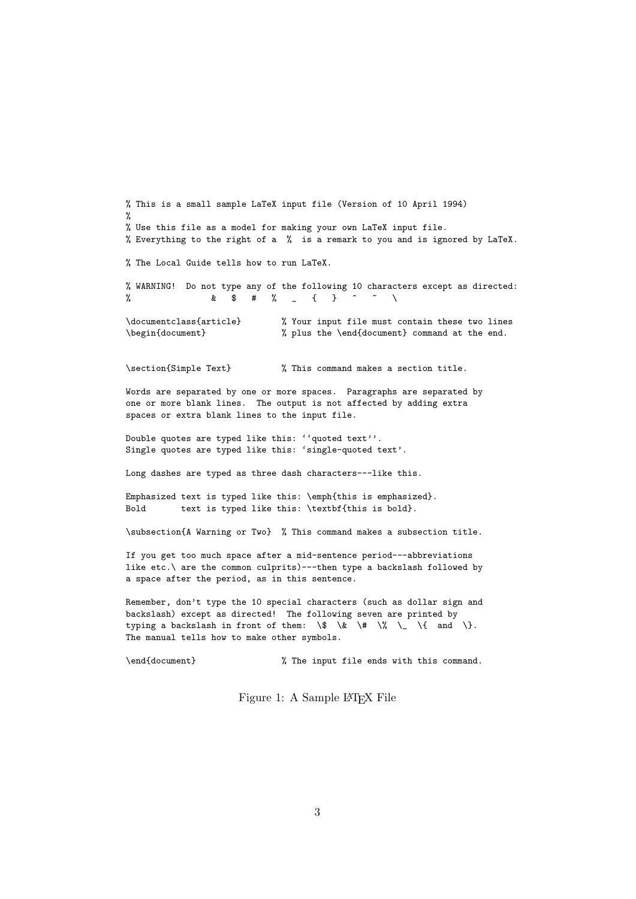% This is a small sample LaTeX input file (Version of 10 April 1994) % % Use this file as a model for making your own LaTeX input file. % Everything to the right of a % is a remark to you and is ignored by LaTeX. % The Local Guide tells how to run LaTeX. % WARNING! Do not type any of the following 10 characters except as directed: % &  $\frac{1}{2}$  # % \_ { } ^ ~ \ \documentclass{article} % Your input file must contain these two lines \begin{document} % plus the \end{document} command at the end. \section{Simple Text} % This command makes a section title. Words are separated by one or more spaces. Paragraphs are separated by one or more blank lines. The output is not affected by adding extra spaces or extra blank lines to the input file. Double quotes are typed like this: ''quoted text''. Single quotes are typed like this: 'single-quoted text'. Long dashes are typed as three dash characters---like this. Emphasized text is typed like this: \emph{this is emphasized}. Bold text is typed like this: \textbf{this is bold}. \subsection{A Warning or Two} % This command makes a subsection title. If you get too much space after a mid-sentence period---abbreviations like etc.\ are the common culprits)---then type a backslash followed by a space after the period, as in this sentence. Remember, don't type the 10 special characters (such as dollar sign and backslash) except as directed! The following seven are printed by typing a backslash in front of them:  $\$ \& \\\{\# \\\% \quad \quad \\\}$  and  $\\\}$ .The manual tells how to make other symbols. \end{document} % The input file ends with this command.

Figure 1: A Sample LATEX File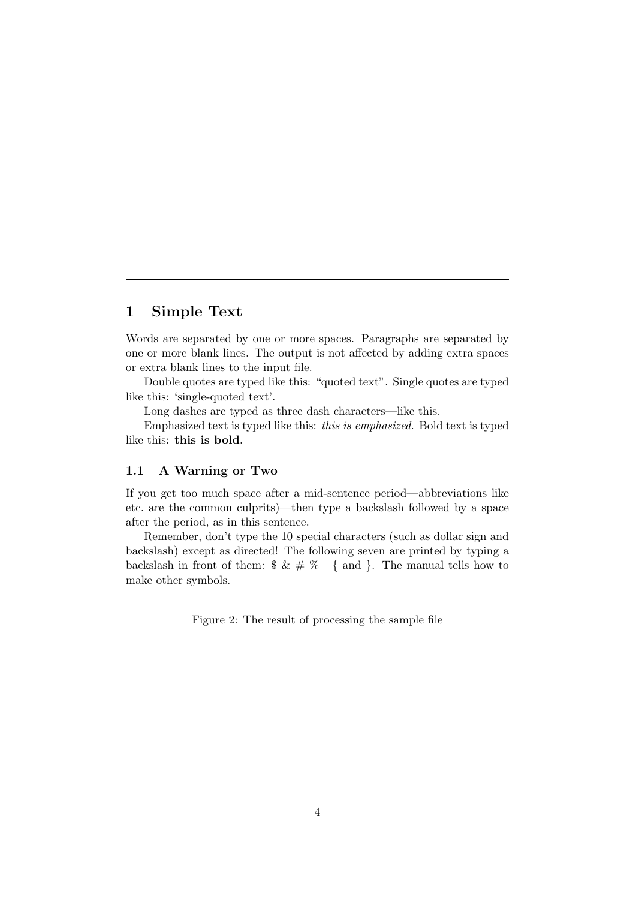# 1 Simple Text

Words are separated by one or more spaces. Paragraphs are separated by one or more blank lines. The output is not affected by adding extra spaces or extra blank lines to the input file.

Double quotes are typed like this: "quoted text". Single quotes are typed like this: 'single-quoted text'.

Long dashes are typed as three dash characters—like this.

Emphasized text is typed like this: this is emphasized. Bold text is typed like this: this is bold.

### 1.1 A Warning or Two

If you get too much space after a mid-sentence period—abbreviations like etc. are the common culprits)—then type a backslash followed by a space after the period, as in this sentence.

Remember, don't type the 10 special characters (such as dollar sign and backslash) except as directed! The following seven are printed by typing a backslash in front of them:  $\frac{1}{2}$  &  $\frac{1}{2}$  %  $\frac{1}{2}$  { and }. The manual tells how to make other symbols.

Figure 2: The result of processing the sample file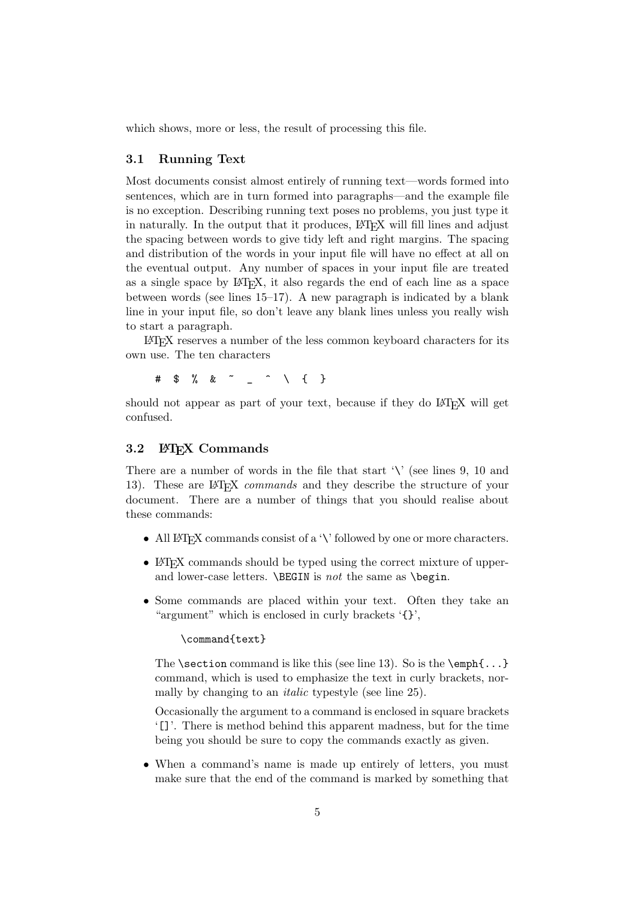which shows, more or less, the result of processing this file.

### 3.1 Running Text

Most documents consist almost entirely of running text—words formed into sentences, which are in turn formed into paragraphs—and the example file is no exception. Describing running text poses no problems, you just type it in naturally. In the output that it produces, LAT<sub>E</sub>X will fill lines and adjust the spacing between words to give tidy left and right margins. The spacing and distribution of the words in your input file will have no effect at all on the eventual output. Any number of spaces in your input file are treated as a single space by LATEX, it also regards the end of each line as a space between words (see lines 15–17). A new paragraph is indicated by a blank line in your input file, so don't leave any blank lines unless you really wish to start a paragraph.

LATEX reserves a number of the less common keyboard characters for its own use. The ten characters

# \$ % & ~ \_ ^ \ { }

should not appear as part of your text, because if they do LAT<sub>EX</sub> will get confused.

### 3.2 LAT<sub>E</sub>X Commands

There are a number of words in the file that start  $\forall$  (see lines 9, 10 and 13). These are L<sup>AT</sup>EX *commands* and they describe the structure of your document. There are a number of things that you should realise about these commands:

- All LAT<sub>EX</sub> commands consist of a  $\vee$  followed by one or more characters.
- LAT<sub>EX</sub> commands should be typed using the correct mixture of upperand lower-case letters.  $\text{BEGIN}$  is not the same as  $\begin{cases}$  begin.
- Some commands are placed within your text. Often they take an "argument" which is enclosed in curly brackets '{}',

```
\command{text}
```
The \section command is like this (see line 13). So is the  $\emptyset$ ...} command, which is used to emphasize the text in curly brackets, normally by changing to an *italic* typestyle (see line 25).

Occasionally the argument to a command is enclosed in square brackets '[]'. There is method behind this apparent madness, but for the time being you should be sure to copy the commands exactly as given.

• When a command's name is made up entirely of letters, you must make sure that the end of the command is marked by something that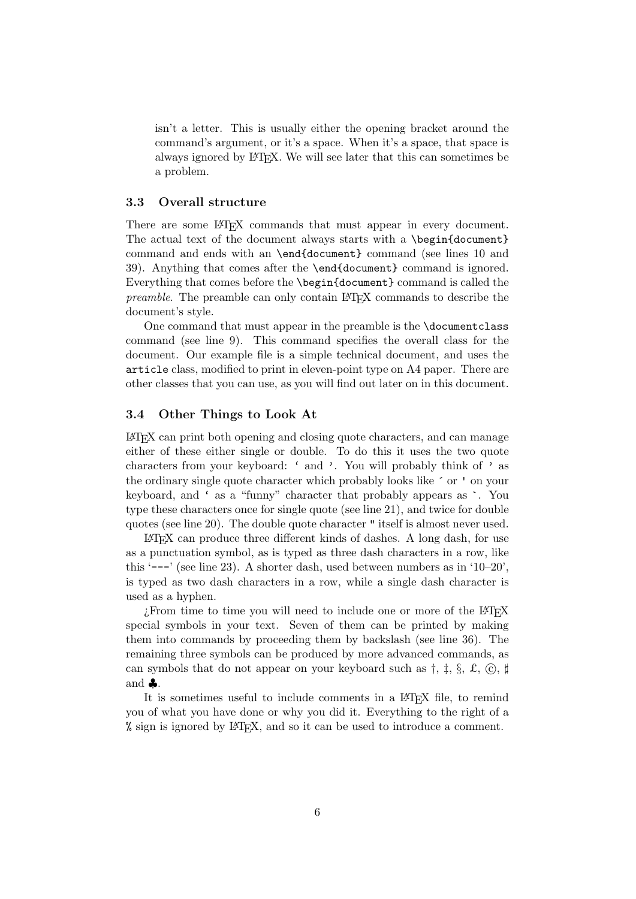isn't a letter. This is usually either the opening bracket around the command's argument, or it's a space. When it's a space, that space is always ignored by LATEX. We will see later that this can sometimes be a problem.

#### 3.3 Overall structure

There are some LATEX commands that must appear in every document. The actual text of the document always starts with a \begin{document} command and ends with an \end{document} command (see lines 10 and 39). Anything that comes after the \end{document} command is ignored. Everything that comes before the \begin{document} command is called the preamble. The preamble can only contain LATEX commands to describe the document's style.

One command that must appear in the preamble is the \documentclass command (see line 9). This command specifies the overall class for the document. Our example file is a simple technical document, and uses the article class, modified to print in eleven-point type on A4 paper. There are other classes that you can use, as you will find out later on in this document.

### 3.4 Other Things to Look At

LATEX can print both opening and closing quote characters, and can manage either of these either single or double. To do this it uses the two quote characters from your keyboard: ' and '. You will probably think of ' as the ordinary single quote character which probably looks like ´ or ' on your keyboard, and ' as a "funny" character that probably appears as `. You type these characters once for single quote (see line 21), and twice for double quotes (see line 20). The double quote character " itself is almost never used.

LATEX can produce three different kinds of dashes. A long dash, for use as a punctuation symbol, as is typed as three dash characters in a row, like this '---' (see line 23). A shorter dash, used between numbers as in '10–20', is typed as two dash characters in a row, while a single dash character is used as a hyphen.

 $i$ . From time to time you will need to include one or more of the LAT<sub>E</sub>X special symbols in your text. Seven of them can be printed by making them into commands by proceeding them by backslash (see line 36). The remaining three symbols can be produced by more advanced commands, as can symbols that do not appear on your keyboard such as  $\dagger$ ,  $\dagger$ ,  $\S$ ,  $\pounds$ ,  $\odot$ ,  $\sharp$ and ♣.

It is sometimes useful to include comments in a LATEX file, to remind you of what you have done or why you did it. Everything to the right of a % sign is ignored by LATEX, and so it can be used to introduce a comment.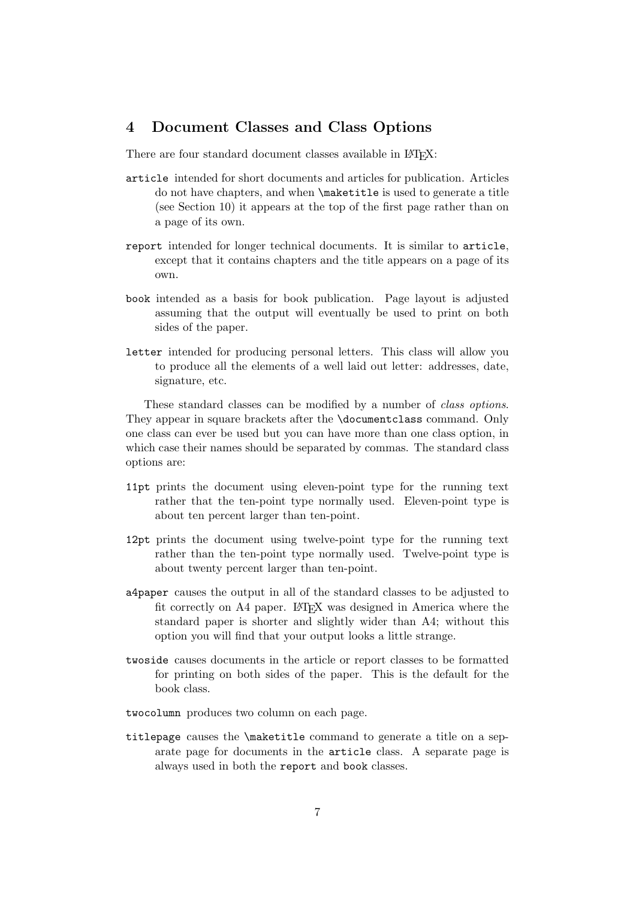## 4 Document Classes and Class Options

There are four standard document classes available in LAT<sub>EX</sub>:

- article intended for short documents and articles for publication. Articles do not have chapters, and when \maketitle is used to generate a title (see Section 10) it appears at the top of the first page rather than on a page of its own.
- report intended for longer technical documents. It is similar to article, except that it contains chapters and the title appears on a page of its own.
- book intended as a basis for book publication. Page layout is adjusted assuming that the output will eventually be used to print on both sides of the paper.
- letter intended for producing personal letters. This class will allow you to produce all the elements of a well laid out letter: addresses, date, signature, etc.

These standard classes can be modified by a number of *class options*. They appear in square brackets after the \documentclass command. Only one class can ever be used but you can have more than one class option, in which case their names should be separated by commas. The standard class options are:

- 11pt prints the document using eleven-point type for the running text rather that the ten-point type normally used. Eleven-point type is about ten percent larger than ten-point.
- 12pt prints the document using twelve-point type for the running text rather than the ten-point type normally used. Twelve-point type is about twenty percent larger than ten-point.
- a4paper causes the output in all of the standard classes to be adjusted to fit correctly on A4 paper. LATEX was designed in America where the standard paper is shorter and slightly wider than A4; without this option you will find that your output looks a little strange.
- twoside causes documents in the article or report classes to be formatted for printing on both sides of the paper. This is the default for the book class.
- twocolumn produces two column on each page.
- titlepage causes the \maketitle command to generate a title on a separate page for documents in the article class. A separate page is always used in both the report and book classes.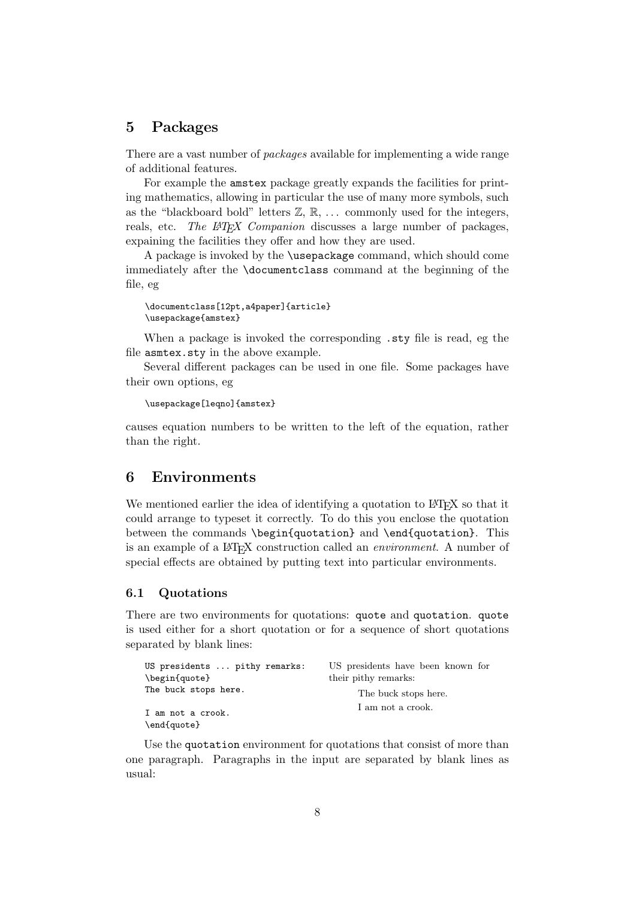## 5 Packages

There are a vast number of packages available for implementing a wide range of additional features.

For example the amstex package greatly expands the facilities for printing mathematics, allowing in particular the use of many more symbols, such as the "blackboard bold" letters  $\mathbb{Z}, \mathbb{R}, \ldots$  commonly used for the integers, reals, etc. The LAT<sub>E</sub>X Companion discusses a large number of packages, expaining the facilities they offer and how they are used.

A package is invoked by the \usepackage command, which should come immediately after the \documentclass command at the beginning of the file, eg

```
\documentclass[12pt,a4paper]{article}
\usepackage{amstex}
```
When a package is invoked the corresponding  $.\mathsf{sty}$  file is read, eg the file asmtex.sty in the above example.

Several different packages can be used in one file. Some packages have their own options, eg

```
\usepackage[leqno]{amstex}
```
causes equation numbers to be written to the left of the equation, rather than the right.

### 6 Environments

We mentioned earlier the idea of identifying a quotation to LATEX so that it could arrange to typeset it correctly. To do this you enclose the quotation between the commands \begin{quotation} and \end{quotation}. This is an example of a LAT<sub>EX</sub> construction called an *environment*. A number of special effects are obtained by putting text into particular environments.

### 6.1 Quotations

There are two environments for quotations: quote and quotation. quote is used either for a short quotation or for a sequence of short quotations separated by blank lines:

| US presidents  pithy remarks:    | US presidents have been known for |
|----------------------------------|-----------------------------------|
| \begin{quote}                    | their pithy remarks:              |
| The buck stops here.             | The buck stops here.              |
| I am not a crook.<br>\end{quote} | I am not a crook.                 |

Use the quotation environment for quotations that consist of more than one paragraph. Paragraphs in the input are separated by blank lines as usual: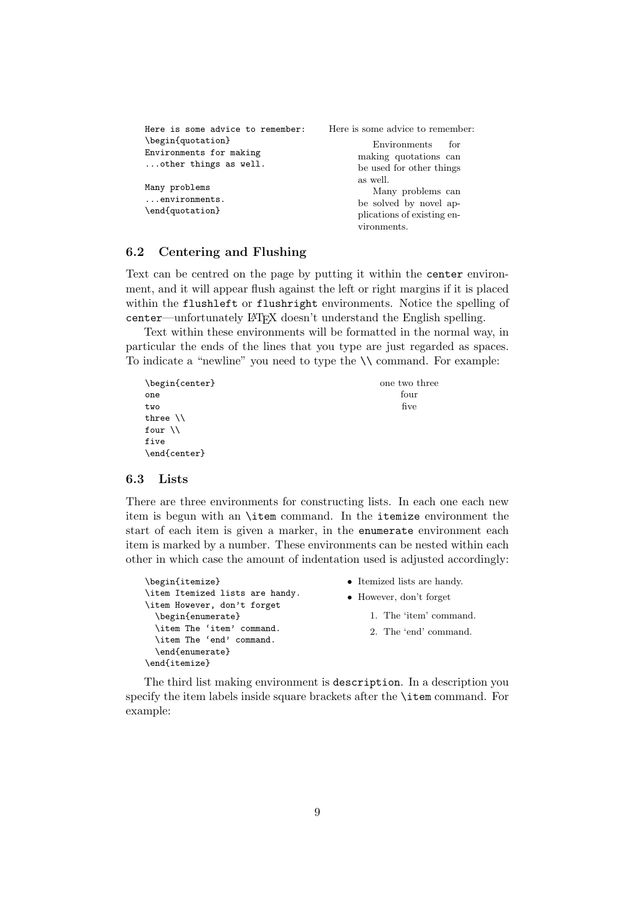| Here is some advice to remember:                                      | Here is some advice to remember:                                                                     |  |  |
|-----------------------------------------------------------------------|------------------------------------------------------------------------------------------------------|--|--|
| \begin{quotation}<br>Environments for making<br>other things as well. | <b>Environments</b><br>for<br>making quotations can<br>be used for other things                      |  |  |
| Many problems<br>environments.<br>\end{quotation}                     | as well.<br>Many problems can<br>be solved by novel ap-<br>plications of existing en-<br>vironments. |  |  |

### 6.2 Centering and Flushing

Text can be centred on the page by putting it within the center environment, and it will appear flush against the left or right margins if it is placed within the flushleft or flushright environments. Notice the spelling of center—unfortunately LATEX doesn't understand the English spelling.

Text within these environments will be formatted in the normal way, in particular the ends of the lines that you type are just regarded as spaces. To indicate a "newline" you need to type the \\ command. For example:

```
\begin{center}
one
two
three \\
four \\
five
\end{center}
                                                    one two three
                                                        four
                                                        five
```
#### 6.3 Lists

There are three environments for constructing lists. In each one each new item is begun with an \item command. In the itemize environment the start of each item is given a marker, in the enumerate environment each item is marked by a number. These environments can be nested within each other in which case the amount of indentation used is adjusted accordingly:

| \begin{itemize}                 | • Itemized lists are handy. |  |  |
|---------------------------------|-----------------------------|--|--|
| \item Itemized lists are handy. | • However, don't forget     |  |  |
| \item However, don't forget     |                             |  |  |
| \begin{enumerate}               | 1. The 'item' command.      |  |  |
| \item The 'item' command.       | 2. The 'end' command.       |  |  |
| \item The 'end' command.        |                             |  |  |
| \end{enumerate}                 |                             |  |  |
| \end{itemize}                   |                             |  |  |

The third list making environment is description. In a description you specify the item labels inside square brackets after the \item command. For example: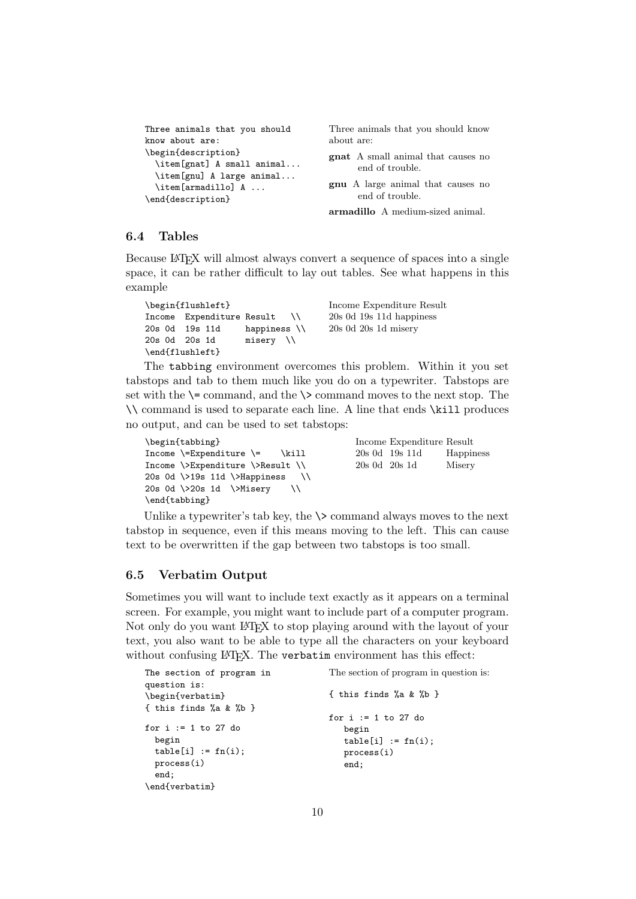```
Three animals that you should
know about are:
\begin{description}
  \item[gnat] A small animal...
  \item[gnu] A large animal...
  \item[armadillo] A ...
\end{description}
                                      Three animals that you should know
                                      about are:
                                      gnat A small animal that causes no
                                             end of trouble.
                                      gnu A large animal that causes no
                                             end of trouble.
                                      armadillo A medium-sized animal.
```
#### 6.4 Tables

Because LAT<sub>EX</sub> will almost always convert a sequence of spaces into a single space, it can be rather difficult to lay out tables. See what happens in this example

```
\begin{flushleft}
Income Expenditure Result \\
20s 0d 19s 11d happiness \\
20s 0d 20s 1d misery \\
\end{flushleft}
                                   Income Expenditure Result
                                   20s 0d 19s 11d happiness
                                   20s 0d 20s 1d misery
```
The tabbing environment overcomes this problem. Within it you set tabstops and tab to them much like you do on a typewriter. Tabstops are set with the  $\ge$  command, and the  $\ge$  command moves to the next stop. The  $\setminus \mathcal{E}$  command is used to separate each line. A line that ends  $\kappa \leq 1$  produces no output, and can be used to set tabstops:

```
\begin{tabbing}
Income \text{Expenditive} = \k_1Income \>Expenditure \>Result \\
20s 0d \>19s 11d \>Happiness \\
20s 0d \>20s 1d \>Misery \\
\end{tabbing}
```
Income Expenditure Result 20s 0d 19s 11d Happiness 20s 0d 20s 1d Misery

Unlike a typewriter's tab key, the  $\>$  command always moves to the next tabstop in sequence, even if this means moving to the left. This can cause text to be overwritten if the gap between two tabstops is too small.

#### 6.5 Verbatim Output

Sometimes you will want to include text exactly as it appears on a terminal screen. For example, you might want to include part of a computer program. Not only do you want LATEX to stop playing around with the layout of your text, you also want to be able to type all the characters on your keyboard without confusing LAT<sub>E</sub>X. The verbatim environment has this effect:

| The section of program in   | The section of program in question is: |
|-----------------------------|----------------------------------------|
| question is:                |                                        |
| \begin{verbatim}            | { this finds %a & %b }                 |
| { this finds % a $\&$ % b } |                                        |
|                             | for $i := 1$ to 27 do                  |
| for $i := 1$ to 27 do       | begin                                  |
| begin                       | $table[i] := fn(i);$                   |
| $table[i] := fn(i);$        | process(i)                             |
| process(i)                  | end;                                   |
| end;                        |                                        |
| \end{verbatim}              |                                        |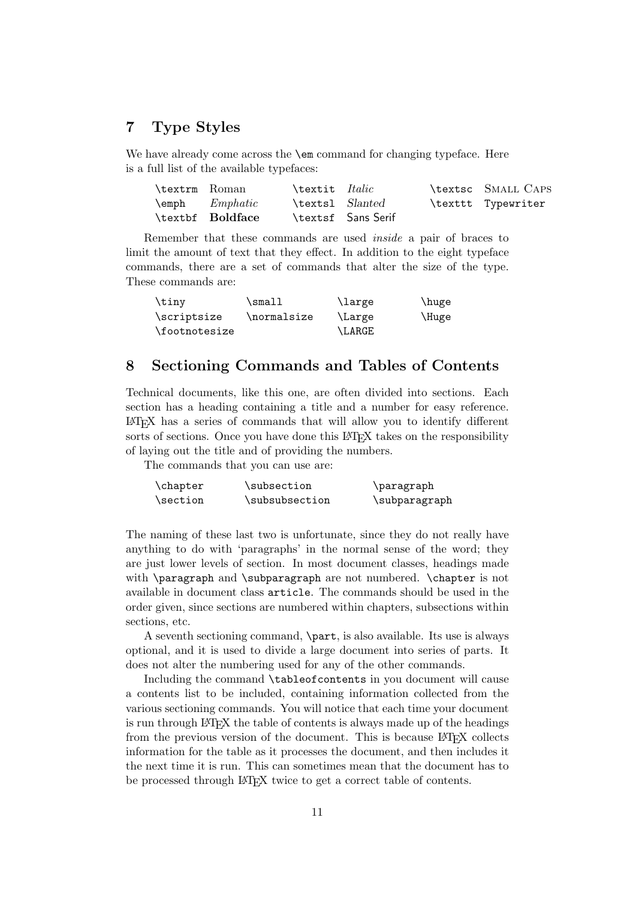# 7 Type Styles

We have already come across the **\em** command for changing typeface. Here is a full list of the available typefaces:

| \textrm Roman |                                     | \textit Italic  |                    | \textsc SMALL CAPS |
|---------------|-------------------------------------|-----------------|--------------------|--------------------|
|               | $\emptyset$ $\emptyset$ $\emptyset$ | \texts1 Slanted |                    | \texttt Typewriter |
|               | \textbf Boldface                    |                 | \textsf Sans Serif |                    |

Remember that these commands are used inside a pair of braces to limit the amount of text that they effect. In addition to the eight typeface commands, there are a set of commands that alter the size of the type. These commands are:

| \tiny         | \small      | \large | \huge |
|---------------|-------------|--------|-------|
| \scriptsize   | \normalsize | \Large | \Huge |
| \footnotesize |             | \LARGE |       |

## 8 Sectioning Commands and Tables of Contents

Technical documents, like this one, are often divided into sections. Each section has a heading containing a title and a number for easy reference. LATEX has a series of commands that will allow you to identify different sorts of sections. Once you have done this LAT<sub>EX</sub> takes on the responsibility of laying out the title and of providing the numbers.

The commands that you can use are:

| \chapter | \subsection    | \paragraph    |
|----------|----------------|---------------|
| \section | \subsubsection | \subparagraph |

The naming of these last two is unfortunate, since they do not really have anything to do with 'paragraphs' in the normal sense of the word; they are just lower levels of section. In most document classes, headings made with \paragraph and \subparagraph are not numbered. \chapter is not available in document class article. The commands should be used in the order given, since sections are numbered within chapters, subsections within sections, etc.

A seventh sectioning command, \part, is also available. Its use is always optional, and it is used to divide a large document into series of parts. It does not alter the numbering used for any of the other commands.

Including the command \tableofcontents in you document will cause a contents list to be included, containing information collected from the various sectioning commands. You will notice that each time your document is run through LATEX the table of contents is always made up of the headings from the previous version of the document. This is because LATEX collects information for the table as it processes the document, and then includes it the next time it is run. This can sometimes mean that the document has to be processed through LAT<sub>EX</sub> twice to get a correct table of contents.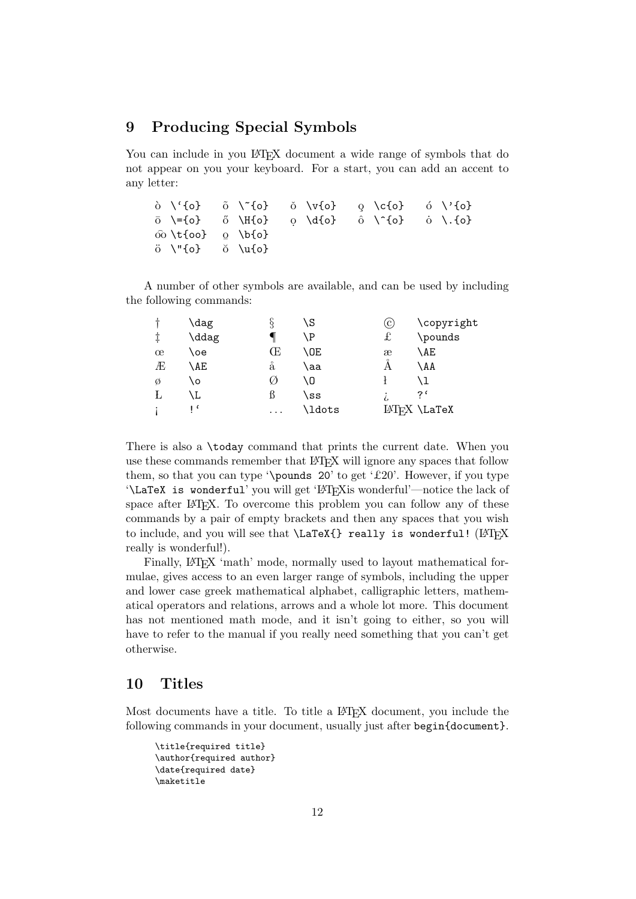## 9 Producing Special Symbols

You can include in you LATEX document a wide range of symbols that do not appear on you your keyboard. For a start, you can add an accent to any letter:

 $\delta \setminus \{6\}$   $\tilde{O}$   $\setminus \{6\}$   $\delta$   $\setminus \{6\}$   $\delta$   $\setminus \{6\}$   $\delta$   $\setminus \{6\}$  $\bar{0}$   $\{0\}$   $\tilde{0}$   $\{0\}$   $\tilde{0}$   $\{0\}$   $\tilde{0}$   $\{0\}$   $\tilde{0}$   $\{0\}$   $\tilde{0}$   $\{0\}$  $\overline{00}$  \t{oo}  $\ddot{\circ}$  \"{o}  $\ddot{\circ}$  \u{o}  $\circ$  \b{o}

A number of other symbols are available, and can be used by including the following commands:

|   | <b>\dag</b> |                         | ۱S     | $\mathcal{C}$ | $\backslash$ copyright    |
|---|-------------|-------------------------|--------|---------------|---------------------------|
| ţ | \ddag       |                         | ١P     | £             | \pounds                   |
| œ | \oe         | Œ                       | \0E    | æ             | \AE                       |
| Æ | \AE         | $\mathring{a}$          | \aa    | А             | \AA                       |
| Ø | ١٥          |                         | ١O     |               |                           |
|   | ١L          |                         | \ss    | ι,            | ?'                        |
|   | ı٢          | $\cdot$ $\cdot$ $\cdot$ | \ldots |               | LAT <sub>F</sub> X \LaTeX |

There is also a \today command that prints the current date. When you use these commands remember that LAT<sub>EX</sub> will ignore any spaces that follow them, so that you can type '\pounds 20' to get '£20'. However, if you type '\LaTeX is wonderful' you will get 'LATEXis wonderful'—notice the lack of space after LAT<sub>E</sub>X. To overcome this problem you can follow any of these commands by a pair of empty brackets and then any spaces that you wish to include, and you will see that  $\text{LareX}\$  really is wonderful! (LATEX really is wonderful!).

Finally, LAT<sub>E</sub>X 'math' mode, normally used to layout mathematical formulae, gives access to an even larger range of symbols, including the upper and lower case greek mathematical alphabet, calligraphic letters, mathematical operators and relations, arrows and a whole lot more. This document has not mentioned math mode, and it isn't going to either, so you will have to refer to the manual if you really need something that you can't get otherwise.

## 10 Titles

Most documents have a title. To title a L<sup>AT</sup>EX document, you include the following commands in your document, usually just after begin{document}.

```
\title{required title}
\author{required author}
\date{required date}
\maketitle
```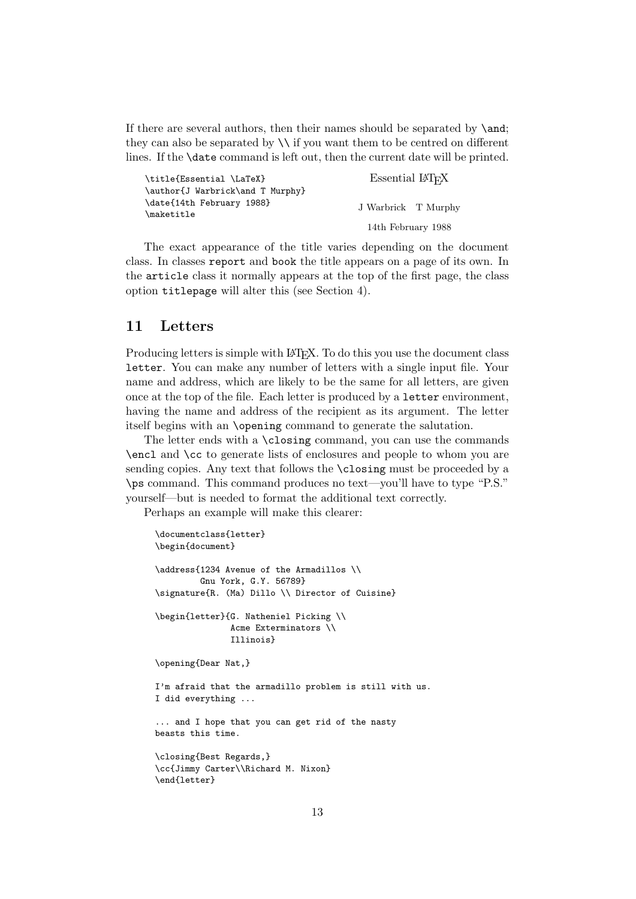If there are several authors, then their names should be separated by **\and**; they can also be separated by  $\setminus$  if you want them to be centred on different lines. If the **\date** command is left out, then the current date will be printed.

| \title{Essential \LaTeX}                | Essential LAT <sub>F</sub> X |
|-----------------------------------------|------------------------------|
| \author{J Warbrick\and T Murphy}        |                              |
| \date{14th February 1988}<br>\maketitle | J Warbrick T Murphy          |
|                                         | 14th February 1988           |

The exact appearance of the title varies depending on the document class. In classes report and book the title appears on a page of its own. In the article class it normally appears at the top of the first page, the class option titlepage will alter this (see Section 4).

### 11 Letters

Producing letters is simple with LATEX. To do this you use the document class letter. You can make any number of letters with a single input file. Your name and address, which are likely to be the same for all letters, are given once at the top of the file. Each letter is produced by a letter environment, having the name and address of the recipient as its argument. The letter itself begins with an \opening command to generate the salutation.

The letter ends with a \closing command, you can use the commands \encl and \cc to generate lists of enclosures and people to whom you are sending copies. Any text that follows the **\closing** must be proceeded by a \ps command. This command produces no text—you'll have to type "P.S." yourself—but is needed to format the additional text correctly.

Perhaps an example will make this clearer:

```
\documentclass{letter}
\begin{document}
\address{1234 Avenue of the Armadillos \\
         Gnu York, G.Y. 56789}
\signature{R. (Ma) Dillo \\ Director of Cuisine}
\begin{letter}{G. Natheniel Picking \\
               Acme Exterminators \\
               Illinois}
\opening{Dear Nat,}
I'm afraid that the armadillo problem is still with us.
I did everything ...
... and I hope that you can get rid of the nasty
beasts this time.
\closing{Best Regards,}
\cc{Jimmy Carter\\Richard M. Nixon}
\end{letter}
```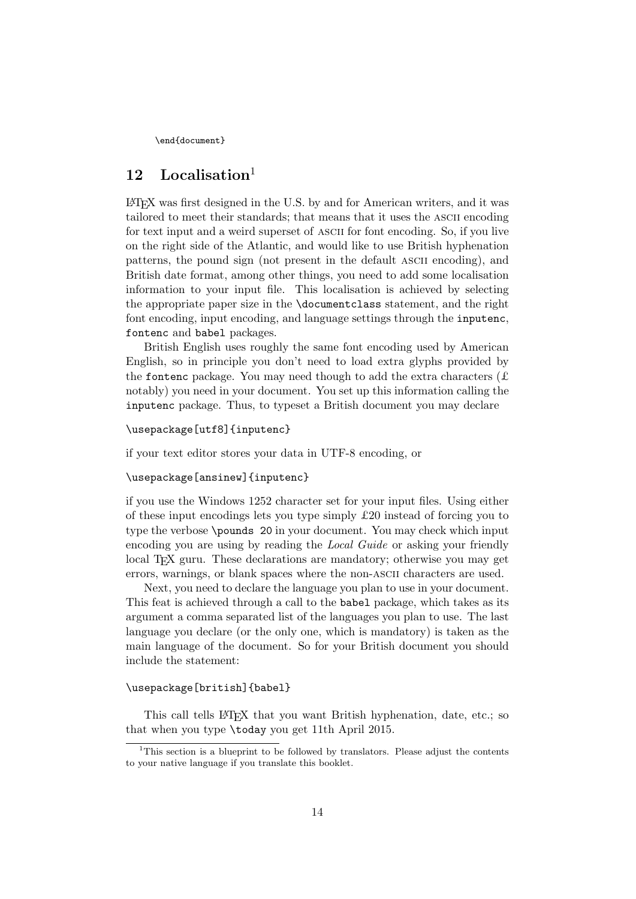\end{document}

# 12 Localisation<sup>1</sup>

LATEX was first designed in the U.S. by and for American writers, and it was tailored to meet their standards; that means that it uses the ASCII encoding for text input and a weird superset of ASCII for font encoding. So, if you live on the right side of the Atlantic, and would like to use British hyphenation patterns, the pound sign (not present in the default ascii encoding), and British date format, among other things, you need to add some localisation information to your input file. This localisation is achieved by selecting the appropriate paper size in the \documentclass statement, and the right font encoding, input encoding, and language settings through the inputenc, fontenc and babel packages.

British English uses roughly the same font encoding used by American English, so in principle you don't need to load extra glyphs provided by the fontenc package. You may need though to add the extra characters  $(E)$ notably) you need in your document. You set up this information calling the inputenc package. Thus, to typeset a British document you may declare

### \usepackage[utf8]{inputenc}

if your text editor stores your data in UTF-8 encoding, or

#### \usepackage[ansinew]{inputenc}

if you use the Windows 1252 character set for your input files. Using either of these input encodings lets you type simply £20 instead of forcing you to type the verbose \pounds 20 in your document. You may check which input encoding you are using by reading the Local Guide or asking your friendly local T<sub>EX</sub> guru. These declarations are mandatory; otherwise you may get errors, warnings, or blank spaces where the non-ascii characters are used.

Next, you need to declare the language you plan to use in your document. This feat is achieved through a call to the babel package, which takes as its argument a comma separated list of the languages you plan to use. The last language you declare (or the only one, which is mandatory) is taken as the main language of the document. So for your British document you should include the statement:

#### \usepackage[british]{babel}

This call tells LAT<sub>EX</sub> that you want British hyphenation, date, etc.; so that when you type \today you get 11th April 2015.

<sup>&</sup>lt;sup>1</sup>This section is a blueprint to be followed by translators. Please adjust the contents to your native language if you translate this booklet.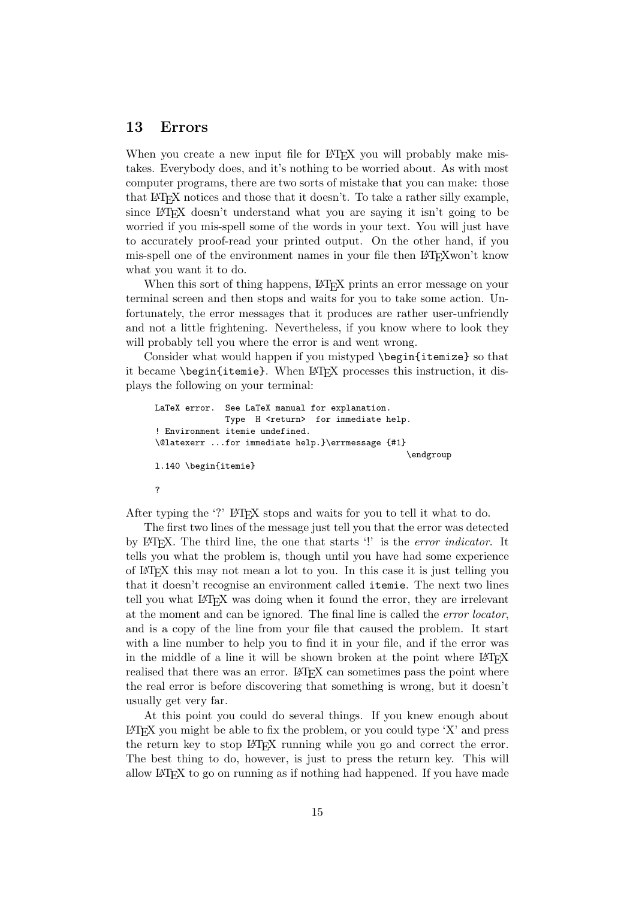### 13 Errors

When you create a new input file for L<sup>AT</sup>EX you will probably make mistakes. Everybody does, and it's nothing to be worried about. As with most computer programs, there are two sorts of mistake that you can make: those that LATEX notices and those that it doesn't. To take a rather silly example, since LATEX doesn't understand what you are saying it isn't going to be worried if you mis-spell some of the words in your text. You will just have to accurately proof-read your printed output. On the other hand, if you mis-spell one of the environment names in your file then LAT<sub>E</sub>Xwon't know what you want it to do.

When this sort of thing happens, LAT<sub>EX</sub> prints an error message on your terminal screen and then stops and waits for you to take some action. Unfortunately, the error messages that it produces are rather user-unfriendly and not a little frightening. Nevertheless, if you know where to look they will probably tell you where the error is and went wrong.

Consider what would happen if you mistyped \begin{itemize} so that it became \begin{itemie}. When LATEX processes this instruction, it displays the following on your terminal:

```
LaTeX error. See LaTeX manual for explanation.
              Type H <return> for immediate help.
! Environment itemie undefined.
\@latexerr ...for immediate help.}\errmessage {#1}
                                                  \endgroup
l.140 \begin{itemie}
?
```
After typing the '?' LAT<sub>EX</sub> stops and waits for you to tell it what to do.

The first two lines of the message just tell you that the error was detected by LAT<sub>E</sub>X. The third line, the one that starts '!' is the *error indicator*. It tells you what the problem is, though until you have had some experience of LATEX this may not mean a lot to you. In this case it is just telling you that it doesn't recognise an environment called itemie. The next two lines tell you what LATEX was doing when it found the error, they are irrelevant at the moment and can be ignored. The final line is called the error locator, and is a copy of the line from your file that caused the problem. It start with a line number to help you to find it in your file, and if the error was in the middle of a line it will be shown broken at the point where  $L^2T_FX$ realised that there was an error. LAT<sub>EX</sub> can sometimes pass the point where the real error is before discovering that something is wrong, but it doesn't usually get very far.

At this point you could do several things. If you knew enough about  $\Delta E$  wou might be able to fix the problem, or you could type 'X' and press the return key to stop LAT<sub>EX</sub> running while you go and correct the error. The best thing to do, however, is just to press the return key. This will allow LATEX to go on running as if nothing had happened. If you have made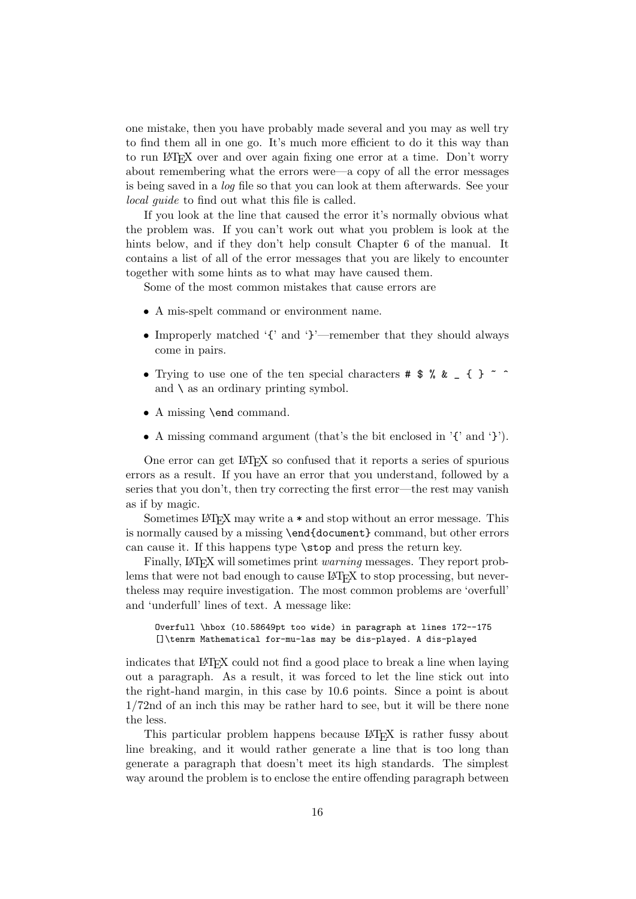one mistake, then you have probably made several and you may as well try to find them all in one go. It's much more efficient to do it this way than to run LATEX over and over again fixing one error at a time. Don't worry about remembering what the errors were—a copy of all the error messages is being saved in a log file so that you can look at them afterwards. See your local guide to find out what this file is called.

If you look at the line that caused the error it's normally obvious what the problem was. If you can't work out what you problem is look at the hints below, and if they don't help consult Chapter 6 of the manual. It contains a list of all of the error messages that you are likely to encounter together with some hints as to what may have caused them.

Some of the most common mistakes that cause errors are

- A mis-spelt command or environment name.
- Improperly matched '{' and '}'—remember that they should always come in pairs.
- Trying to use one of the ten special characters  $\# \$  % &  $[$  { }  $\degree$   $\degree$ and  $\setminus$  as an ordinary printing symbol.
- A missing **\end** command.
- A missing command argument (that's the bit enclosed in '{' and '}').

One error can get LATEX so confused that it reports a series of spurious errors as a result. If you have an error that you understand, followed by a series that you don't, then try correcting the first error—the rest may vanish as if by magic.

Sometimes LAT<sub>EX</sub> may write a  $*$  and stop without an error message. This is normally caused by a missing \end{document} command, but other errors can cause it. If this happens type \stop and press the return key.

Finally, LAT<sub>E</sub>X will sometimes print *warning* messages. They report problems that were not bad enough to cause LAT<sub>EX</sub> to stop processing, but nevertheless may require investigation. The most common problems are 'overfull' and 'underfull' lines of text. A message like:

Overfull \hbox (10.58649pt too wide) in paragraph at lines 172--175 []\tenrm Mathematical for-mu-las may be dis-played. A dis-played

indicates that LAT<sub>EX</sub> could not find a good place to break a line when laying out a paragraph. As a result, it was forced to let the line stick out into the right-hand margin, in this case by 10.6 points. Since a point is about 1/72nd of an inch this may be rather hard to see, but it will be there none the less.

This particular problem happens because LAT<sub>EX</sub> is rather fussy about line breaking, and it would rather generate a line that is too long than generate a paragraph that doesn't meet its high standards. The simplest way around the problem is to enclose the entire offending paragraph between